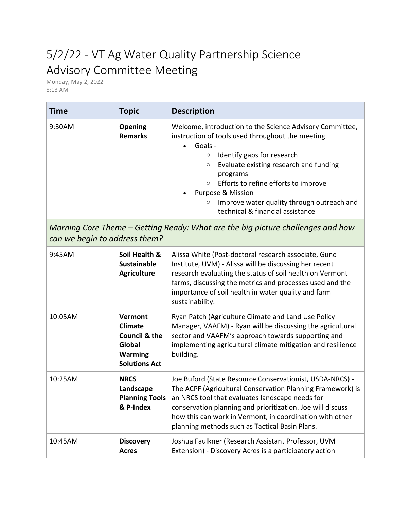# 5/2/22 - VT Ag Water Quality Partnership Science Advisory Committee Meeting

Monday, May 2, 2022 8:13 AM

| <b>Time</b>                   | <b>Topic</b>                                                                                                     | <b>Description</b>                                                                                                                                                                                                                                                                                                                                                                                                                                                                   |  |  |
|-------------------------------|------------------------------------------------------------------------------------------------------------------|--------------------------------------------------------------------------------------------------------------------------------------------------------------------------------------------------------------------------------------------------------------------------------------------------------------------------------------------------------------------------------------------------------------------------------------------------------------------------------------|--|--|
| 9:30AM                        | <b>Opening</b><br><b>Remarks</b>                                                                                 | Welcome, introduction to the Science Advisory Committee,<br>instruction of tools used throughout the meeting.<br>Goals -<br>Identify gaps for research<br>$\circ$<br>Evaluate existing research and funding<br>$\circ$<br>programs<br>Efforts to refine efforts to improve<br>$\circ$<br>Purpose & Mission<br>Improve water quality through outreach and<br>O<br>technical & financial assistance<br>Morning Core Theme – Getting Ready: What are the big picture challenges and how |  |  |
| can we begin to address them? |                                                                                                                  |                                                                                                                                                                                                                                                                                                                                                                                                                                                                                      |  |  |
| 9:45AM                        | Soil Health &<br><b>Sustainable</b><br><b>Agriculture</b>                                                        | Alissa White (Post-doctoral research associate, Gund<br>Institute, UVM) - Alissa will be discussing her recent<br>research evaluating the status of soil health on Vermont<br>farms, discussing the metrics and processes used and the<br>importance of soil health in water quality and farm<br>sustainability.                                                                                                                                                                     |  |  |
| 10:05AM                       | <b>Vermont</b><br><b>Climate</b><br><b>Council &amp; the</b><br>Global<br><b>Warming</b><br><b>Solutions Act</b> | Ryan Patch (Agriculture Climate and Land Use Policy<br>Manager, VAAFM) - Ryan will be discussing the agricultural<br>sector and VAAFM's approach towards supporting and<br>implementing agricultural climate mitigation and resilience<br>building.                                                                                                                                                                                                                                  |  |  |
| 10:25AM                       | <b>NRCS</b><br>Landscape<br><b>Planning Tools</b><br>& P-Index                                                   | Joe Buford (State Resource Conservationist, USDA-NRCS) -<br>The ACPF (Agricultural Conservation Planning Framework) is<br>an NRCS tool that evaluates landscape needs for<br>conservation planning and prioritization. Joe will discuss<br>how this can work in Vermont, in coordination with other<br>planning methods such as Tactical Basin Plans.                                                                                                                                |  |  |
| 10:45AM                       | <b>Discovery</b><br><b>Acres</b>                                                                                 | Joshua Faulkner (Research Assistant Professor, UVM<br>Extension) - Discovery Acres is a participatory action                                                                                                                                                                                                                                                                                                                                                                         |  |  |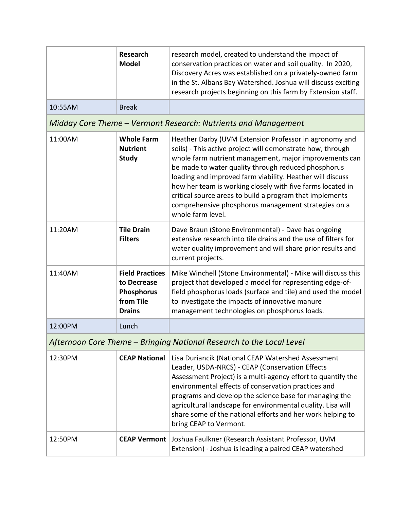|                                                                      | <b>Research</b><br><b>Model</b>                                                          | research model, created to understand the impact of<br>conservation practices on water and soil quality. In 2020,<br>Discovery Acres was established on a privately-owned farm<br>in the St. Albans Bay Watershed. Joshua will discuss exciting<br>research projects beginning on this farm by Extension staff.                                                                                                                                                                                          |  |  |
|----------------------------------------------------------------------|------------------------------------------------------------------------------------------|----------------------------------------------------------------------------------------------------------------------------------------------------------------------------------------------------------------------------------------------------------------------------------------------------------------------------------------------------------------------------------------------------------------------------------------------------------------------------------------------------------|--|--|
| 10:55AM                                                              | <b>Break</b>                                                                             |                                                                                                                                                                                                                                                                                                                                                                                                                                                                                                          |  |  |
| Midday Core Theme – Vermont Research: Nutrients and Management       |                                                                                          |                                                                                                                                                                                                                                                                                                                                                                                                                                                                                                          |  |  |
| 11:00AM                                                              | <b>Whole Farm</b><br><b>Nutrient</b><br><b>Study</b>                                     | Heather Darby (UVM Extension Professor in agronomy and<br>soils) - This active project will demonstrate how, through<br>whole farm nutrient management, major improvements can<br>be made to water quality through reduced phosphorus<br>loading and improved farm viability. Heather will discuss<br>how her team is working closely with five farms located in<br>critical source areas to build a program that implements<br>comprehensive phosphorus management strategies on a<br>whole farm level. |  |  |
| 11:20AM                                                              | <b>Tile Drain</b><br><b>Filters</b>                                                      | Dave Braun (Stone Environmental) - Dave has ongoing<br>extensive research into tile drains and the use of filters for<br>water quality improvement and will share prior results and<br>current projects.                                                                                                                                                                                                                                                                                                 |  |  |
| 11:40AM                                                              | <b>Field Practices</b><br>to Decrease<br><b>Phosphorus</b><br>from Tile<br><b>Drains</b> | Mike Winchell (Stone Environmental) - Mike will discuss this<br>project that developed a model for representing edge-of-<br>field phosphorus loads (surface and tile) and used the model<br>to investigate the impacts of innovative manure<br>management technologies on phosphorus loads.                                                                                                                                                                                                              |  |  |
| 12:00PM                                                              | Lunch                                                                                    |                                                                                                                                                                                                                                                                                                                                                                                                                                                                                                          |  |  |
| Afternoon Core Theme - Bringing National Research to the Local Level |                                                                                          |                                                                                                                                                                                                                                                                                                                                                                                                                                                                                                          |  |  |
| 12:30PM                                                              | <b>CEAP National</b>                                                                     | Lisa Duriancik (National CEAP Watershed Assessment<br>Leader, USDA-NRCS) - CEAP (Conservation Effects<br>Assessment Project) is a multi-agency effort to quantify the<br>amental effects of consequation practices and                                                                                                                                                                                                                                                                                   |  |  |

|         | Assessment Project) is a multi-agency effort to quantify the<br>environmental effects of conservation practices and<br>programs and develop the science base for managing the<br>agricultural landscape for environmental quality. Lisa will<br>share some of the national efforts and her work helping to<br>bring CEAP to Vermont. |
|---------|--------------------------------------------------------------------------------------------------------------------------------------------------------------------------------------------------------------------------------------------------------------------------------------------------------------------------------------|
| 12:50PM | <b>CEAP Vermont</b>   Joshua Faulkner (Research Assistant Professor, UVM<br>Extension) - Joshua is leading a paired CEAP watershed                                                                                                                                                                                                   |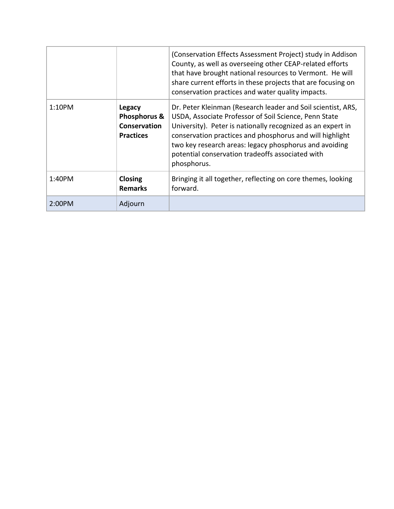|        |                                                                          | (Conservation Effects Assessment Project) study in Addison<br>County, as well as overseeing other CEAP-related efforts<br>that have brought national resources to Vermont. He will<br>share current efforts in these projects that are focusing on<br>conservation practices and water quality impacts.                                                                       |
|--------|--------------------------------------------------------------------------|-------------------------------------------------------------------------------------------------------------------------------------------------------------------------------------------------------------------------------------------------------------------------------------------------------------------------------------------------------------------------------|
| 1:10PM | <b>Legacy</b><br>Phosphorus &<br><b>Conservation</b><br><b>Practices</b> | Dr. Peter Kleinman (Research leader and Soil scientist, ARS,<br>USDA, Associate Professor of Soil Science, Penn State<br>University). Peter is nationally recognized as an expert in<br>conservation practices and phosphorus and will highlight<br>two key research areas: legacy phosphorus and avoiding<br>potential conservation tradeoffs associated with<br>phosphorus. |
| 1:40PM | Closing<br><b>Remarks</b>                                                | Bringing it all together, reflecting on core themes, looking<br>forward.                                                                                                                                                                                                                                                                                                      |
| 2:00PM | Adjourn                                                                  |                                                                                                                                                                                                                                                                                                                                                                               |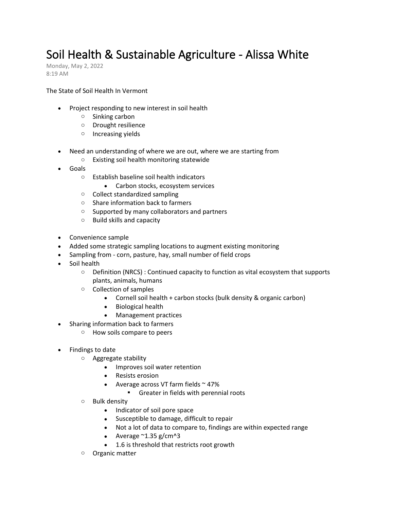## Soil Health & Sustainable Agriculture - Alissa White

Monday, May 2, 2022 8:19 AM

## The State of Soil Health In Vermont

- Project responding to new interest in soil health
	- o Sinking carbon
	- o Drought resilience
	- o Increasing yields
- Need an understanding of where we are out, where we are starting from
	- o Existing soil health monitoring statewide
- Goals
	- o Establish baseline soil health indicators
		- Carbon stocks, ecosystem services
	- o Collect standardized sampling
	- o Share information back to farmers
	- o Supported by many collaborators and partners
	- o Build skills and capacity
- Convenience sample
- Added some strategic sampling locations to augment existing monitoring
- Sampling from corn, pasture, hay, small number of field crops
- Soil health
	- o Definition (NRCS) : Continued capacity to function as vital ecosystem that supports plants, animals, humans
	- o Collection of samples
		- Cornell soil health + carbon stocks (bulk density & organic carbon)
		- Biological health
		- Management practices
- Sharing information back to farmers
	- o How soils compare to peers
- Findings to date
	- o Aggregate stability
		- Improves soil water retention
		- Resists erosion
		- Average across VT farm fields  $\sim$  47%
			- Greater in fields with perennial roots
	- o Bulk density
		- Indicator of soil pore space
		- Susceptible to damage, difficult to repair
		- Not a lot of data to compare to, findings are within expected range
		- Average  $\sim$ 1.35 g/cm $\sim$ 3
		- 1.6 is threshold that restricts root growth
	- o Organic matter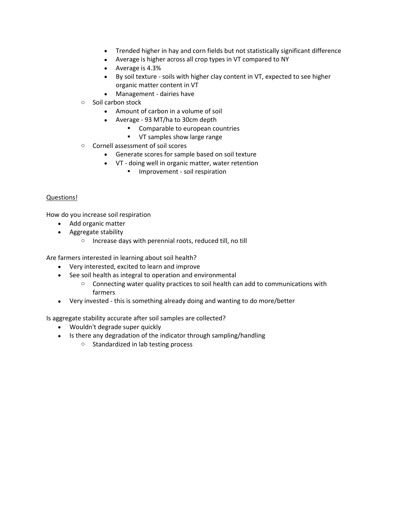- Trended higher in hay and corn fields but not statistically significant difference
- Average is higher across all crop types in VT compared to NY
- Average is 4.3%
- By soil texture soils with higher clay content in VT, expected to see higher organic matter content in VT
- Management dairies have
- o Soil carbon stock
	- Amount of carbon in a volume of soil
	- Average 93 MT/ha to 30cm depth
		- Comparable to european countries
		- VT samples show large range
- o Cornell assessment of soil scores
	- Generate scores for sample based on soil texture
	- VT doing well in organic matter, water retention
		- **·** Improvement soil respiration

## Questions!

How do you increase soil respiration

- Add organic matter
- Aggregate stability
	- o Increase days with perennial roots, reduced till, no till

Are farmers interested in learning about soil health?

- Very interested, excited to learn and improve
- See soil health as integral to operation and environmental
	- $\circ$  Connecting water quality practices to soil health can add to communications with farmers
- Very invested this is something already doing and wanting to do more/better

Is aggregate stability accurate after soil samples are collected?

- Wouldn't degrade super quickly
- Is there any degradation of the indicator through sampling/handling
	- o Standardized in lab testing process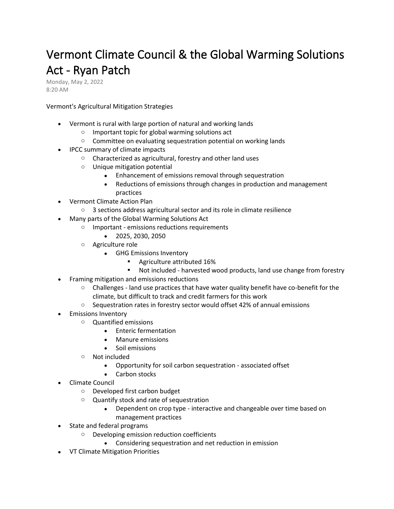# Vermont Climate Council & the Global Warming Solutions Act - Ryan Patch

Monday, May 2, 2022 8:20 AM

Vermont's Agricultural Mitigation Strategies

- Vermont is rural with large portion of natural and working lands
	- o Important topic for global warming solutions act
	- o Committee on evaluating sequestration potential on working lands
- IPCC summary of climate impacts
	- o Characterized as agricultural, forestry and other land uses
	- o Unique mitigation potential
		- Enhancement of emissions removal through sequestration
		- Reductions of emissions through changes in production and management practices
- Vermont Climate Action Plan
	- $\circ$  3 sections address agricultural sector and its role in climate resilience
- Many parts of the Global Warming Solutions Act
	- o Important emissions reductions requirements
		- 2025, 2030, 2050
	- o Agriculture role
		- GHG Emissions Inventory
			- Agriculture attributed 16%
			- Not included harvested wood products, land use change from forestry
- Framing mitigation and emissions reductions
	- $\circ$  Challenges land use practices that have water quality benefit have co-benefit for the climate, but difficult to track and credit farmers for this work
	- $\circ$  Sequestration rates in forestry sector would offset 42% of annual emissions
- Emissions Inventory
	- o Quantified emissions
		- Enteric fermentation
		- Manure emissions
		- Soil emissions
	- o Not included
		- Opportunity for soil carbon sequestration associated offset
		- Carbon stocks
- Climate Council
	- o Developed first carbon budget
	- o Quantify stock and rate of sequestration
		- Dependent on crop type interactive and changeable over time based on management practices
- State and federal programs
	- o Developing emission reduction coefficients
		- Considering sequestration and net reduction in emission
- VT Climate Mitigation Priorities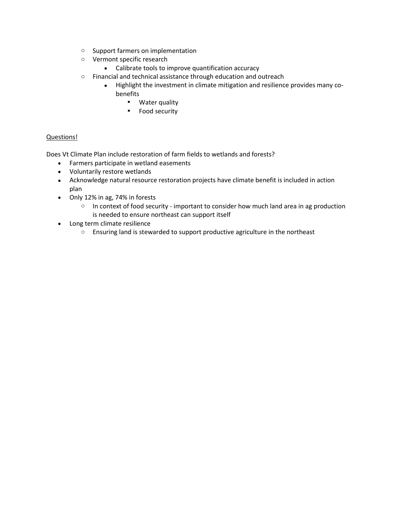- o Support farmers on implementation
- o Vermont specific research
	- Calibrate tools to improve quantification accuracy
- o Financial and technical assistance through education and outreach
	- Highlight the investment in climate mitigation and resilience provides many cobenefits
		- Water quality
		- Food security

## Questions!

Does Vt Climate Plan include restoration of farm fields to wetlands and forests?

- Farmers participate in wetland easements
- Voluntarily restore wetlands
- Acknowledge natural resource restoration projects have climate benefit is included in action plan
- Only 12% in ag, 74% in forests
	- $\circ$  In context of food security important to consider how much land area in ag production is needed to ensure northeast can support itself
- Long term climate resilience
	- o Ensuring land is stewarded to support productive agriculture in the northeast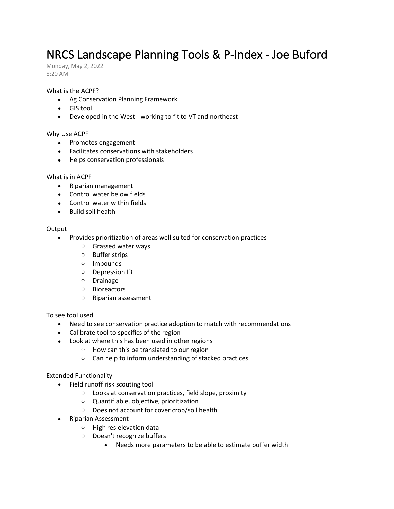## NRCS Landscape Planning Tools & P-Index - Joe Buford

Monday, May 2, 2022 8:20 AM

#### What is the ACPF?

- Ag Conservation Planning Framework
- GIS tool
- Developed in the West working to fit to VT and northeast

#### Why Use ACPF

- Promotes engagement
- Facilitates conservations with stakeholders
- Helps conservation professionals

#### What is in ACPF

- Riparian management
- Control water below fields
- Control water within fields
- Build soil health

#### **Output**

- Provides prioritization of areas well suited for conservation practices
	- o Grassed water ways
	- o Buffer strips
	- o Impounds
	- o Depression ID
	- o Drainage
	- o Bioreactors
	- o Riparian assessment

To see tool used

- Need to see conservation practice adoption to match with recommendations
- Calibrate tool to specifics of the region
- Look at where this has been used in other regions
	- o How can this be translated to our region
	- o Can help to inform understanding of stacked practices

#### Extended Functionality

- Field runoff risk scouting tool
	- o Looks at conservation practices, field slope, proximity
	- o Quantifiable, objective, prioritization
	- o Does not account for cover crop/soil health
- Riparian Assessment
	- o High res elevation data
	- o Doesn't recognize buffers
		- Needs more parameters to be able to estimate buffer width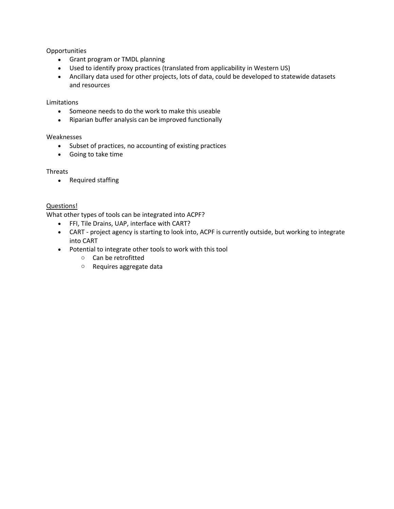## **Opportunities**

- Grant program or TMDL planning
- Used to identify proxy practices (translated from applicability in Western US)
- Ancillary data used for other projects, lots of data, could be developed to statewide datasets and resources

## Limitations

- Someone needs to do the work to make this useable
- Riparian buffer analysis can be improved functionally

## Weaknesses

- Subset of practices, no accounting of existing practices
- Going to take time

## Threats

• Required staffing

## Questions!

What other types of tools can be integrated into ACPF?

- FFI, Tile Drains, UAP, interface with CART?
- CART project agency is starting to look into, ACPF is currently outside, but working to integrate into CART
- Potential to integrate other tools to work with this tool
	- o Can be retrofitted
	- o Requires aggregate data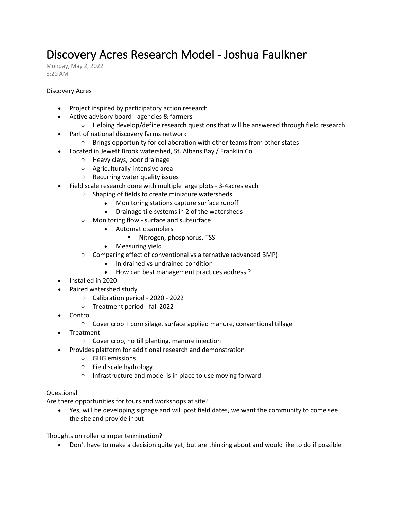## Discovery Acres Research Model - Joshua Faulkner

Monday, May 2, 2022 8:20 AM

## Discovery Acres

- Project inspired by participatory action research
- Active advisory board agencies & farmers
	- $\circ$  Helping develop/define research questions that will be answered through field research
- Part of national discovery farms network
	- o Brings opportunity for collaboration with other teams from other states
- Located in Jewett Brook watershed, St. Albans Bay / Franklin Co.
	- o Heavy clays, poor drainage
	- o Agriculturally intensive area
	- o Recurring water quality issues
- Field scale research done with multiple large plots 3-4acres each
	- o Shaping of fields to create miniature watersheds
		- Monitoring stations capture surface runoff
		- Drainage tile systems in 2 of the watersheds
	- o Monitoring flow surface and subsurface
		- Automatic samplers
			- Nitrogen, phosphorus, TSS
		- Measuring yield
	- o Comparing effect of conventional vs alternative (advanced BMP)
		- In drained vs undrained condition
		- How can best management practices address ?
- Installed in 2020
- Paired watershed study
	- o Calibration period 2020 2022
	- o Treatment period fall 2022
- Control
	- o Cover crop + corn silage, surface applied manure, conventional tillage
- **Treatment** 
	- o Cover crop, no till planting, manure injection
- Provides platform for additional research and demonstration
	- o GHG emissions
	- o Field scale hydrology
	- o Infrastructure and model is in place to use moving forward

## Questions!

Are there opportunities for tours and workshops at site?

• Yes, will be developing signage and will post field dates, we want the community to come see the site and provide input

Thoughts on roller crimper termination?

• Don't have to make a decision quite yet, but are thinking about and would like to do if possible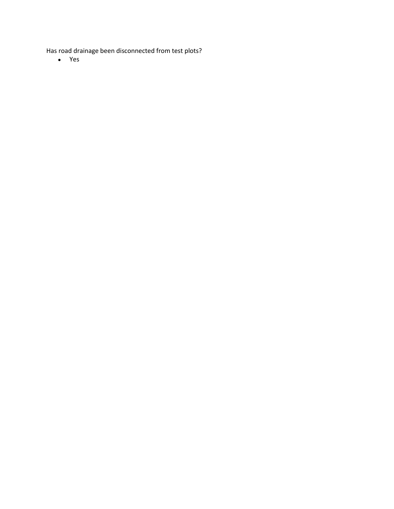Has road drainage been disconnected from test plots?

• Yes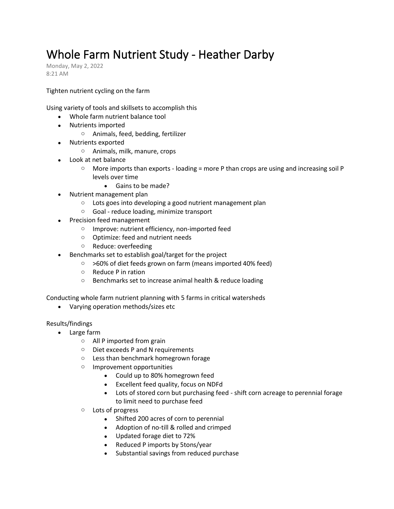## Whole Farm Nutrient Study - Heather Darby

Monday, May 2, 2022 8:21 AM

Tighten nutrient cycling on the farm

Using variety of tools and skillsets to accomplish this

- Whole farm nutrient balance tool
- Nutrients imported
	- o Animals, feed, bedding, fertilizer
- Nutrients exported
	- o Animals, milk, manure, crops
- Look at net balance
	- $\circ$  More imports than exports loading = more P than crops are using and increasing soil P levels over time
		- Gains to be made?
- Nutrient management plan
	- $\circ$  Lots goes into developing a good nutrient management plan
	- o Goal reduce loading, minimize transport
- Precision feed management
	- o Improve: nutrient efficiency, non-imported feed
	- o Optimize: feed and nutrient needs
	- o Reduce: overfeeding
- Benchmarks set to establish goal/target for the project
	- o >60% of diet feeds grown on farm (means imported 40% feed)
	- o Reduce P in ration
	- o Benchmarks set to increase animal health & reduce loading

Conducting whole farm nutrient planning with 5 farms in critical watersheds

• Varying operation methods/sizes etc

Results/findings

- Large farm
	- o All P imported from grain
	- o Diet exceeds P and N requirements
	- o Less than benchmark homegrown forage
	- o Improvement opportunities
		- Could up to 80% homegrown feed
		- Excellent feed quality, focus on NDFd
		- Lots of stored corn but purchasing feed shift corn acreage to perennial forage to limit need to purchase feed
	- o Lots of progress
		- Shifted 200 acres of corn to perennial
		- Adoption of no-till & rolled and crimped
		- Updated forage diet to 72%
		- Reduced P imports by 5tons/year
		- Substantial savings from reduced purchase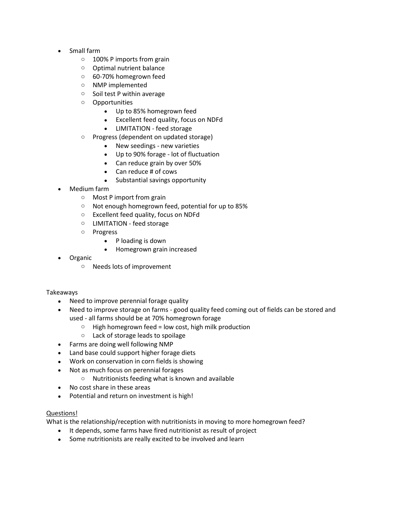- Small farm
	- o 100% P imports from grain
	- o Optimal nutrient balance
	- o 60-70% homegrown feed
	- o NMP implemented
	- o Soil test P within average
	- o Opportunities
		- Up to 85% homegrown feed
		- Excellent feed quality, focus on NDFd
		- LIMITATION feed storage
	- o Progress (dependent on updated storage)
		- New seedings new varieties
		- Up to 90% forage lot of fluctuation
		- Can reduce grain by over 50%
		- Can reduce # of cows
		- Substantial savings opportunity
- Medium farm
	- o Most P import from grain
	- o Not enough homegrown feed, potential for up to 85%
	- o Excellent feed quality, focus on NDFd
	- o LIMITATION feed storage
	- o Progress
		- P loading is down
		- Homegrown grain increased
- **Organic** 
	- o Needs lots of improvement

## Takeaways

- Need to improve perennial forage quality
- Need to improve storage on farms good quality feed coming out of fields can be stored and used - all farms should be at 70% homegrown forage
	- $\circ$  High homegrown feed = low cost, high milk production
	- o Lack of storage leads to spoilage
- Farms are doing well following NMP
- Land base could support higher forage diets
- Work on conservation in corn fields is showing
- Not as much focus on perennial forages
	- o Nutritionists feeding what is known and available
- No cost share in these areas
- Potential and return on investment is high!

## Questions!

What is the relationship/reception with nutritionists in moving to more homegrown feed?

- It depends, some farms have fired nutritionist as result of project
- Some nutritionists are really excited to be involved and learn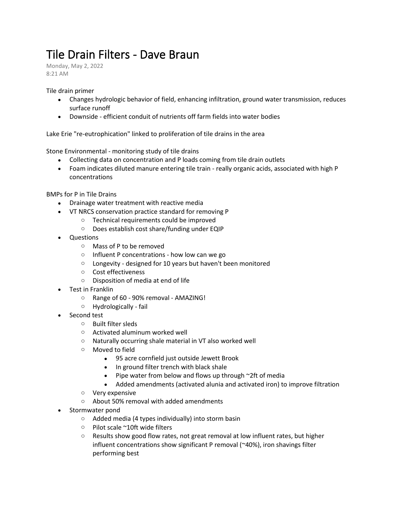## Tile Drain Filters - Dave Braun

Monday, May 2, 2022 8:21 AM

Tile drain primer

- Changes hydrologic behavior of field, enhancing infiltration, ground water transmission, reduces surface runoff
- Downside efficient conduit of nutrients off farm fields into water bodies

Lake Erie "re-eutrophication" linked to proliferation of tile drains in the area

Stone Environmental - monitoring study of tile drains

- Collecting data on concentration and P loads coming from tile drain outlets
- Foam indicates diluted manure entering tile train really organic acids, associated with high P concentrations

BMPs for P in Tile Drains

- Drainage water treatment with reactive media
- VT NRCS conservation practice standard for removing P
	- o Technical requirements could be improved
	- o Does establish cost share/funding under EQIP
- Questions
	- o Mass of P to be removed
	- $\circ$  Influent P concentrations how low can we go
	- o Longevity designed for 10 years but haven't been monitored
	- o Cost effectiveness
	- o Disposition of media at end of life
- Test in Franklin
	- o Range of 60 90% removal AMAZING!
	- o Hydrologically fail
- Second test
	- o Built filter sleds
	- o Activated aluminum worked well
	- o Naturally occurring shale material in VT also worked well
	- o Moved to field
		- 95 acre cornfield just outside Jewett Brook
		- In ground filter trench with black shale
		- Pipe water from below and flows up through  $\sim$ 2ft of media
		- Added amendments (activated alunia and activated iron) to improve filtration
	- o Very expensive
	- o About 50% removal with added amendments
- Stormwater pond
	- $\circ$  Added media (4 types individually) into storm basin
	- o Pilot scale ~10ft wide filters
	- $\circ$  Results show good flow rates, not great removal at low influent rates, but higher influent concentrations show significant P removal (~40%), iron shavings filter performing best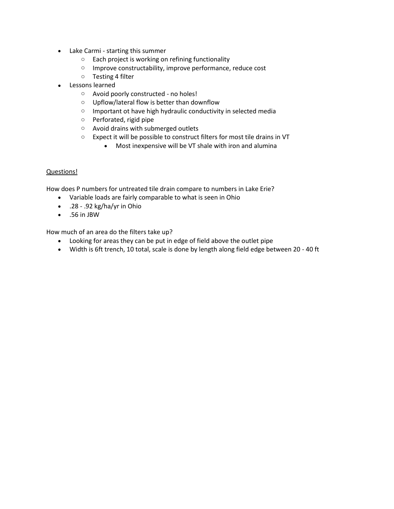- Lake Carmi starting this summer
	- o Each project is working on refining functionality
	- o Improve constructability, improve performance, reduce cost
	- o Testing 4 filter
- Lessons learned
	- o Avoid poorly constructed no holes!
	- o Upflow/lateral flow is better than downflow
	- o Important ot have high hydraulic conductivity in selected media
	- o Perforated, rigid pipe
	- o Avoid drains with submerged outlets
	- o Expect it will be possible to construct filters for most tile drains in VT
		- Most inexpensive will be VT shale with iron and alumina

## Questions!

How does P numbers for untreated tile drain compare to numbers in Lake Erie?

- Variable loads are fairly comparable to what is seen in Ohio
- $\bullet$  .28 .92 kg/ha/yr in Ohio
- $\bullet$  .56 in JBW

How much of an area do the filters take up?

- Looking for areas they can be put in edge of field above the outlet pipe
- Width is 6ft trench, 10 total, scale is done by length along field edge between 20 40 ft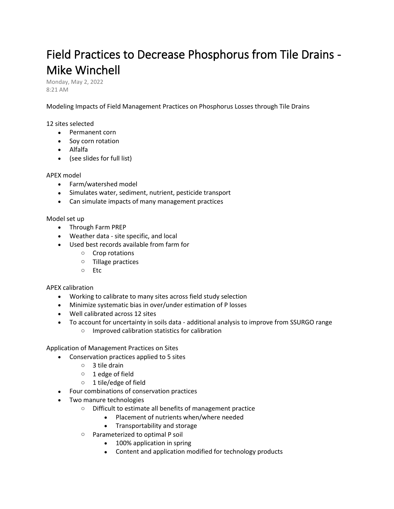# Field Practices to Decrease Phosphorus from Tile Drains - Mike Winchell

Monday, May 2, 2022 8:21 AM

Modeling Impacts of Field Management Practices on Phosphorus Losses through Tile Drains

## 12 sites selected

- Permanent corn
- Soy corn rotation
- Alfalfa
- (see slides for full list)

## APEX model

- Farm/watershed model
- Simulates water, sediment, nutrient, pesticide transport
- Can simulate impacts of many management practices

## Model set up

- Through Farm PREP
- Weather data site specific, and local
- Used best records available from farm for
	- o Crop rotations
	- o Tillage practices
	- o Etc

## APEX calibration

- Working to calibrate to many sites across field study selection
- Minimize systematic bias in over/under estimation of P losses
- Well calibrated across 12 sites
- To account for uncertainty in soils data additional analysis to improve from SSURGO range
	- o Improved calibration statistics for calibration

Application of Management Practices on Sites

- Conservation practices applied to 5 sites
	- o 3 tile drain
	- o 1 edge of field
	- o 1 tile/edge of field
- Four combinations of conservation practices
- Two manure technologies
	- o Difficult to estimate all benefits of management practice
		- Placement of nutrients when/where needed
		- Transportability and storage
	- o Parameterized to optimal P soil
		- 100% application in spring
		- Content and application modified for technology products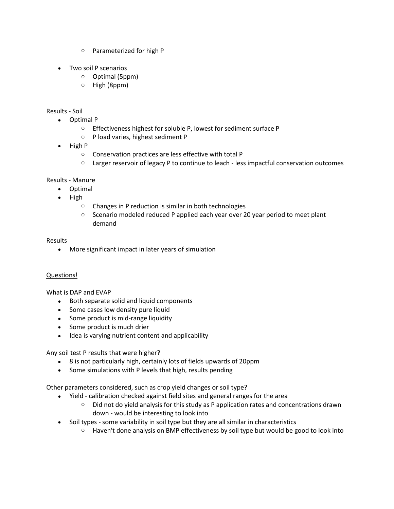- o Parameterized for high P
- Two soil P scenarios
	- o Optimal (5ppm)
	- o High (8ppm)

## Results - Soil

- Optimal P
	- o Effectiveness highest for soluble P, lowest for sediment surface P
	- o P load varies, highest sediment P
- High P
	- o Conservation practices are less effective with total P
	- $\circ$  Larger reservoir of legacy P to continue to leach less impactful conservation outcomes

## Results - Manure

- Optimal
- High
	- o Changes in P reduction is similar in both technologies
	- $\circ$  Scenario modeled reduced P applied each year over 20 year period to meet plant demand

## Results

• More significant impact in later years of simulation

## Questions!

What is DAP and EVAP

- Both separate solid and liquid components
- Some cases low density pure liquid
- Some product is mid-range liquidity
- Some product is much drier
- Idea is varying nutrient content and applicability

Any soil test P results that were higher?

- 8 is not particularly high, certainly lots of fields upwards of 20ppm
- Some simulations with P levels that high, results pending

Other parameters considered, such as crop yield changes or soil type?

- Yield calibration checked against field sites and general ranges for the area
	- $\circ$  Did not do yield analysis for this study as P application rates and concentrations drawn down - would be interesting to look into
- Soil types some variability in soil type but they are all similar in characteristics
	- $\circ$  Haven't done analysis on BMP effectiveness by soil type but would be good to look into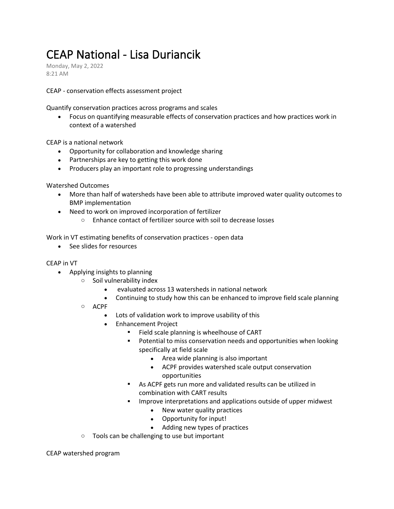## CEAP National - Lisa Duriancik

Monday, May 2, 2022 8:21 AM

CEAP - conservation effects assessment project

Quantify conservation practices across programs and scales

• Focus on quantifying measurable effects of conservation practices and how practices work in context of a watershed

CEAP is a national network

- Opportunity for collaboration and knowledge sharing
- Partnerships are key to getting this work done
- Producers play an important role to progressing understandings

Watershed Outcomes

- More than half of watersheds have been able to attribute improved water quality outcomes to BMP implementation
- Need to work on improved incorporation of fertilizer
	- o Enhance contact of fertilizer source with soil to decrease losses

Work in VT estimating benefits of conservation practices - open data

• See slides for resources

## CEAP in VT

- Applying insights to planning
	- o Soil vulnerability index
		- evaluated across 13 watersheds in national network
		- Continuing to study how this can be enhanced to improve field scale planning
		- o ACPF
			- Lots of validation work to improve usability of this
			- Enhancement Project
				- **EXECTE Field scale planning is wheelhouse of CART**
				- Potential to miss conservation needs and opportunities when looking specifically at field scale
					- Area wide planning is also important
					- ACPF provides watershed scale output conservation opportunities
				- As ACPF gets run more and validated results can be utilized in combination with CART results
				- **■** Improve interpretations and applications outside of upper midwest
					- New water quality practices
					- Opportunity for input!
					- Adding new types of practices
		- o Tools can be challenging to use but important

CEAP watershed program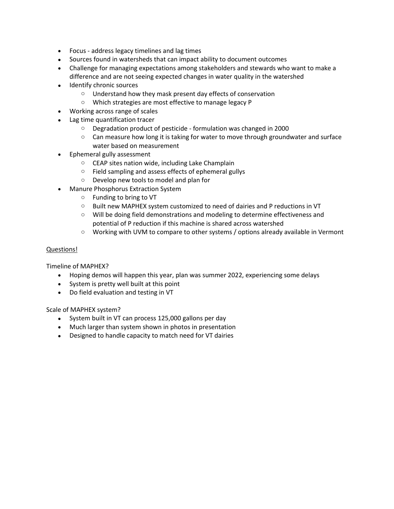- Focus address legacy timelines and lag times
- Sources found in watersheds that can impact ability to document outcomes
- Challenge for managing expectations among stakeholders and stewards who want to make a difference and are not seeing expected changes in water quality in the watershed
- Identify chronic sources
	- o Understand how they mask present day effects of conservation
	- o Which strategies are most effective to manage legacy P
- Working across range of scales
- Lag time quantification tracer
	- o Degradation product of pesticide formulation was changed in 2000
	- $\circ$  Can measure how long it is taking for water to move through groundwater and surface water based on measurement
- Ephemeral gully assessment
	- o CEAP sites nation wide, including Lake Champlain
	- o Field sampling and assess effects of ephemeral gullys
	- o Develop new tools to model and plan for
	- Manure Phosphorus Extraction System
		- o Funding to bring to VT
		- o Built new MAPHEX system customized to need of dairies and P reductions in VT
		- $\circ$  Will be doing field demonstrations and modeling to determine effectiveness and potential of P reduction if this machine is shared across watershed
		- o Working with UVM to compare to other systems / options already available in Vermont

## Questions!

Timeline of MAPHEX?

- Hoping demos will happen this year, plan was summer 2022, experiencing some delays
- System is pretty well built at this point
- Do field evaluation and testing in VT

## Scale of MAPHEX system?

- System built in VT can process 125,000 gallons per day
- Much larger than system shown in photos in presentation
- Designed to handle capacity to match need for VT dairies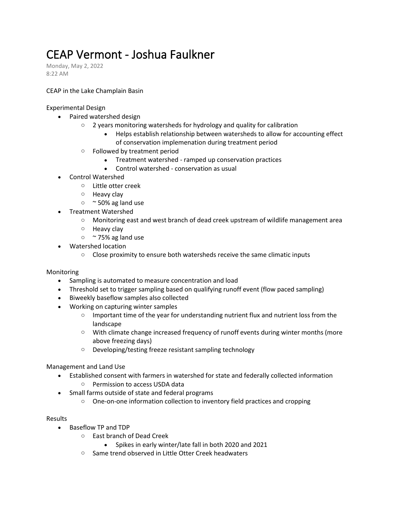## CEAP Vermont - Joshua Faulkner

Monday, May 2, 2022 8:22 AM

## CEAP in the Lake Champlain Basin

Experimental Design

- Paired watershed design
	- $\circ$  2 years monitoring watersheds for hydrology and quality for calibration
		- Helps establish relationship between watersheds to allow for accounting effect of conservation implemenation during treatment period
	- o Followed by treatment period
		- Treatment watershed ramped up conservation practices
			- Control watershed conservation as usual
- Control Watershed
	- o Little otter creek
	- o Heavy clay
	- $\circ$  ~ 50% ag land use
- Treatment Watershed
	- $\circ$  Monitoring east and west branch of dead creek upstream of wildlife management area
	- o Heavy clay
	- $\circ$  ~ 75% ag land use
- Watershed location
	- $\circ$  Close proximity to ensure both watersheds receive the same climatic inputs

## Monitoring

- Sampling is automated to measure concentration and load
- Threshold set to trigger sampling based on qualifying runoff event (flow paced sampling)
- Biweekly baseflow samples also collected
- Working on capturing winter samples
	- $\circ$  Important time of the year for understanding nutrient flux and nutrient loss from the landscape
	- $\circ$  With climate change increased frequency of runoff events during winter months (more above freezing days)
	- o Developing/testing freeze resistant sampling technology

## Management and Land Use

- Established consent with farmers in watershed for state and federally collected information o Permission to access USDA data
- Small farms outside of state and federal programs
	- o One-on-one information collection to inventory field practices and cropping

## Results

- Baseflow TP and TDP
	- o East branch of Dead Creek
		- Spikes in early winter/late fall in both 2020 and 2021
	- o Same trend observed in Little Otter Creek headwaters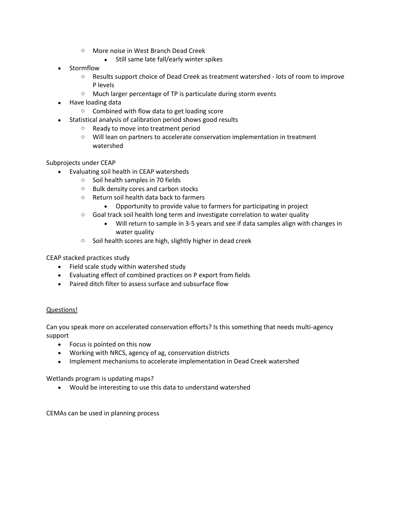- o More noise in West Branch Dead Creek
	- Still same late fall/early winter spikes
- **Stormflow** 
	- o Results support choice of Dead Creek as treatment watershed lots of room to improve P levels
	- o Much larger percentage of TP is particulate during storm events
- Have loading data
	- o Combined with flow data to get loading score
- Statistical analysis of calibration period shows good results
	- o Ready to move into treatment period
	- o Will lean on partners to accelerate conservation implementation in treatment watershed

## Subprojects under CEAP

- Evaluating soil health in CEAP watersheds
	- o Soil health samples in 70 fields
	- o Bulk density cores and carbon stocks
	- o Return soil health data back to farmers
		- Opportunity to provide value to farmers for participating in project
	- $\circ$  Goal track soil health long term and investigate correlation to water quality
		- Will return to sample in 3-5 years and see if data samples align with changes in water quality
	- o Soil health scores are high, slightly higher in dead creek

CEAP stacked practices study

- Field scale study within watershed study
- Evaluating effect of combined practices on P export from fields
- Paired ditch filter to assess surface and subsurface flow

## Questions!

Can you speak more on accelerated conservation efforts? Is this something that needs multi-agency support

- Focus is pointed on this now
- Working with NRCS, agency of ag, conservation districts
- Implement mechanisms to accelerate implementation in Dead Creek watershed

Wetlands program is updating maps?

• Would be interesting to use this data to understand watershed

CEMAs can be used in planning process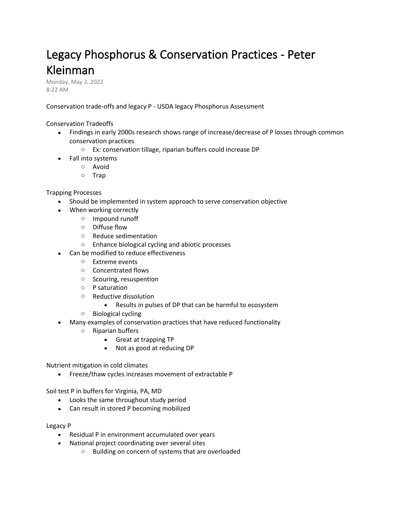# Legacy Phosphorus & Conservation Practices - Peter Kleinman

Monday, May 2, 2022 8:22 AM

Conservation trade-offs and legacy P - USDA legacy Phosphorus Assessment

## Conservation Tradeoffs

- Findings in early 2000s research shows range of increase/decrease of P losses through common conservation practices
	- o Ex: conservation tillage, riparian buffers could increase DP
- Fall into systems
	- o Avoid
	- o Trap

Trapping Processes

- Should be implemented in system approach to serve conservation objective
- When working correctly
	- o Impound runoff
		- o Diffuse flow
		- o Reduce sedimentation
		- o Enhance biological cycling and abiotic processes
	- Can be modified to reduce effectiveness
		- o Extreme events
		- o Concentrated flows
		- o Scouring, resuspention
		- o P saturation
		- o Reductive dissolution
			- Results in pulses of DP that can be harmful to ecosystem
		- o Biological cycling
- Many examples of conservation practices that have reduced functionality
	- o Riparian buffers
		- Great at trapping TP
		- Not as good at reducing DP

Nutrient mitigation in cold climates

• Freeze/thaw cycles increases movement of extractable P

Soil test P in buffers for Virginia, PA, MD

- Looks the same throughout study period
- Can result in stored P becoming mobilized

Legacy P

- Residual P in environment accumulated over years
- National project coordinating over several sites
	- o Building on concern of systems that are overloaded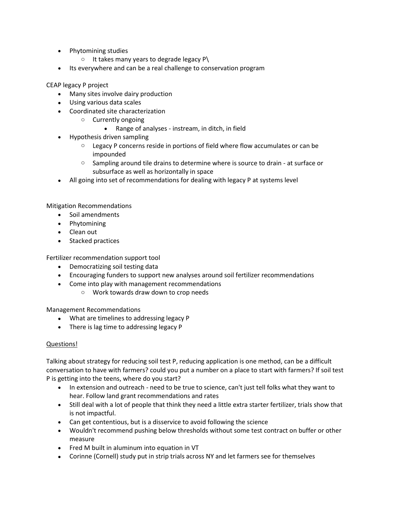- Phytomining studies
	- $\circ$  It takes many years to degrade legacy P\
- Its everywhere and can be a real challenge to conservation program

CEAP legacy P project

- Many sites involve dairy production
- Using various data scales
- Coordinated site characterization
	- o Currently ongoing
		- Range of analyses instream, in ditch, in field
- Hypothesis driven sampling
	- $\circ$  Legacy P concerns reside in portions of field where flow accumulates or can be impounded
	- $\circ$  Sampling around tile drains to determine where is source to drain at surface or subsurface as well as horizontally in space
- All going into set of recommendations for dealing with legacy P at systems level

Mitigation Recommendations

- Soil amendments
- Phytomining
- Clean out
- Stacked practices

Fertilizer recommendation support tool

- Democratizing soil testing data
- Encouraging funders to support new analyses around soil fertilizer recommendations
- Come into play with management recommendations
	- o Work towards draw down to crop needs

Management Recommendations

- What are timelines to addressing legacy P
- There is lag time to addressing legacy P

## Questions!

Talking about strategy for reducing soil test P, reducing application is one method, can be a difficult conversation to have with farmers? could you put a number on a place to start with farmers? If soil test P is getting into the teens, where do you start?

- In extension and outreach need to be true to science, can't just tell folks what they want to hear. Follow land grant recommendations and rates
- Still deal with a lot of people that think they need a little extra starter fertilizer, trials show that is not impactful.
- Can get contentious, but is a disservice to avoid following the science
- Wouldn't recommend pushing below thresholds without some test contract on buffer or other measure
- Fred M built in aluminum into equation in VT
- Corinne (Cornell) study put in strip trials across NY and let farmers see for themselves